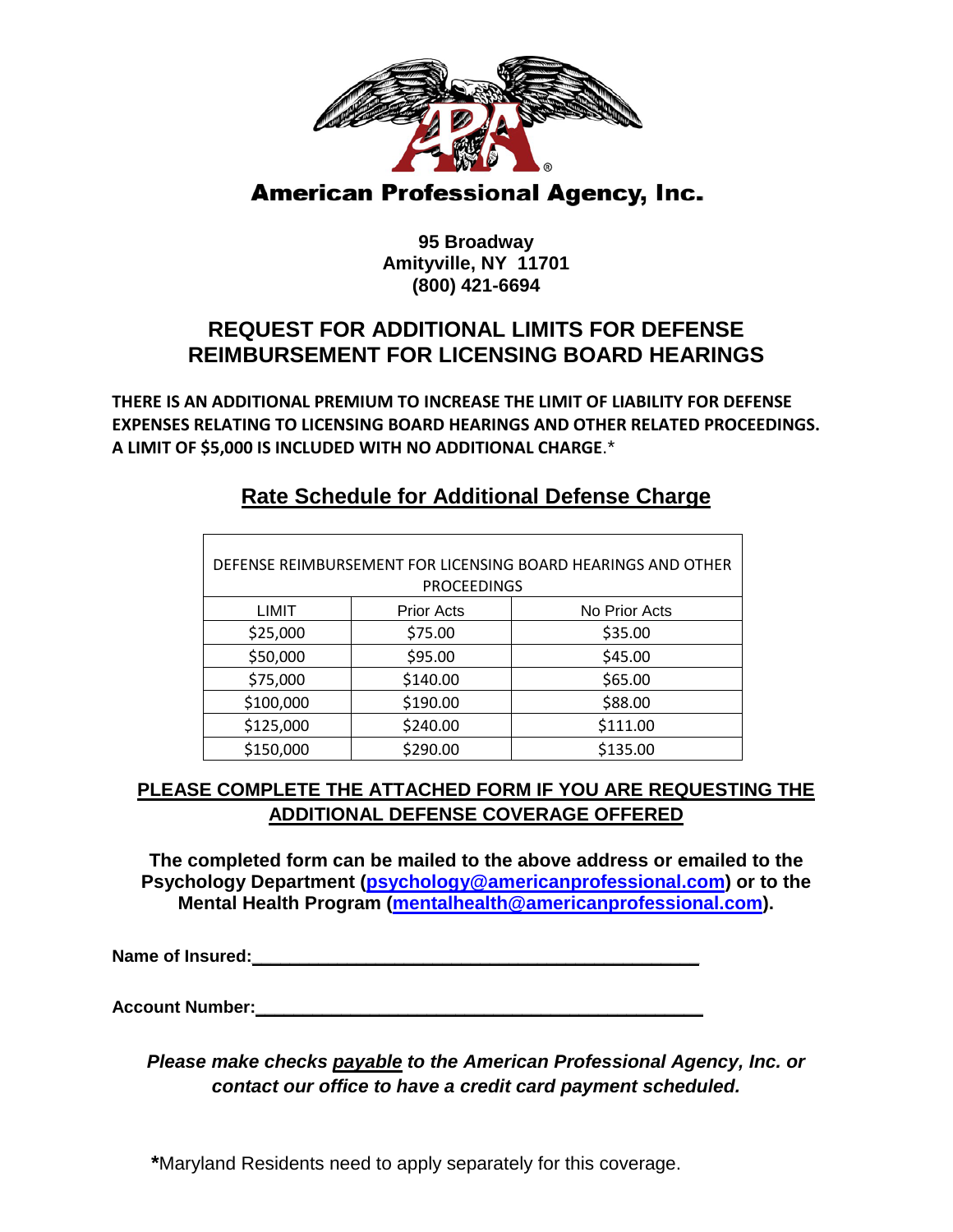

# **American Professional Agency, Inc.**

**95 Broadway Amityville, NY 11701 (800) 421-6694**

## **REQUEST FOR ADDITIONAL LIMITS FOR DEFENSE REIMBURSEMENT FOR LICENSING BOARD HEARINGS**

**THERE IS AN ADDITIONAL PREMIUM TO INCREASE THE LIMIT OF LIABILITY FOR DEFENSE EXPENSES RELATING TO LICENSING BOARD HEARINGS AND OTHER RELATED PROCEEDINGS. A LIMIT OF \$5,000 IS INCLUDED WITH NO ADDITIONAL CHARGE**.\*

| DEFENSE REIMBURSEMENT FOR LICENSING BOARD HEARINGS AND OTHER<br><b>PROCEEDINGS</b> |                   |               |
|------------------------------------------------------------------------------------|-------------------|---------------|
| LIMIT                                                                              | <b>Prior Acts</b> | No Prior Acts |
| \$25,000                                                                           | \$75.00           | \$35.00       |
| \$50,000                                                                           | \$95.00           | \$45.00       |
| \$75,000                                                                           | \$140.00          | \$65.00       |
| \$100,000                                                                          | \$190.00          | \$88.00       |
| \$125,000                                                                          | \$240.00          | \$111.00      |
| \$150,000                                                                          | \$290.00          | \$135.00      |

### **Rate Schedule for Additional Defense Charge**

#### **PLEASE COMPLETE THE ATTACHED FORM IF YOU ARE REQUESTING THE ADDITIONAL DEFENSE COVERAGE OFFERED**

**The completed form can be mailed to the above address or emailed to the Psychology Department [\(psychology@americanprofessional.com\)](mailto:psychology@americanprofessional.com) or to the Mental Health Program (mentalhealth@americanprofessional.com).** 

**Name of Insured:\_\_\_\_\_\_\_\_\_\_\_\_\_\_\_\_\_\_\_\_\_\_\_\_\_\_\_\_\_\_\_\_\_\_\_\_\_\_\_\_\_\_\_\_\_\_\_**

**Account Number:\_\_\_\_\_\_\_\_\_\_\_\_\_\_\_\_\_\_\_\_\_\_\_\_\_\_\_\_\_\_\_\_\_\_\_\_\_\_\_\_\_\_\_\_\_\_\_**

*Please make checks payable to the American Professional Agency, Inc. or contact our office to have a credit card payment scheduled.* 

 **\***Maryland Residents need to apply separately for this coverage.